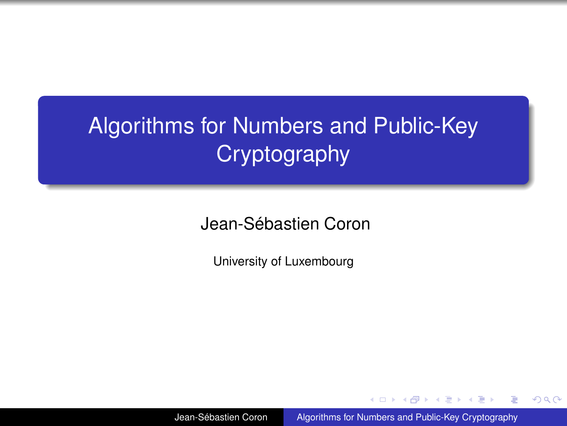# <span id="page-0-0"></span>Algorithms for Numbers and Public-Key **Cryptography**

Jean-Sébastien Coron

University of Luxembourg

Jean-Sébastien Coron **[Algorithms for Numbers and Public-Key Cryptography](#page-49-0)** 

∢ □ ▶ к 何 ▶

→ 重 × → 重 × …

÷.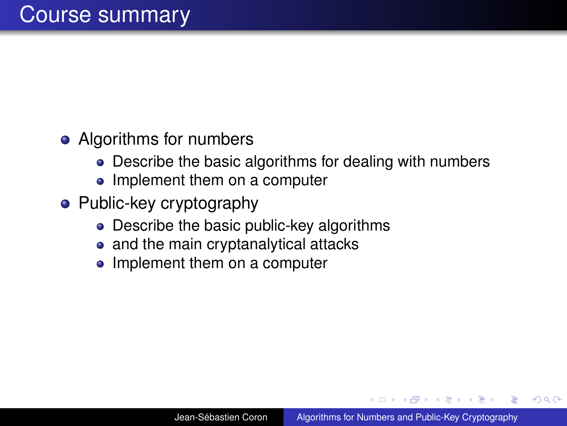#### • Algorithms for numbers

- Describe the basic algorithms for dealing with numbers
- Implement them on a computer
- Public-key cryptography
	- Describe the basic public-key algorithms
	- and the main cryptanalytical attacks
	- Implement them on a computer

K ロ ⊁ K 何 ≯ K ヨ ⊁ K ヨ ⊁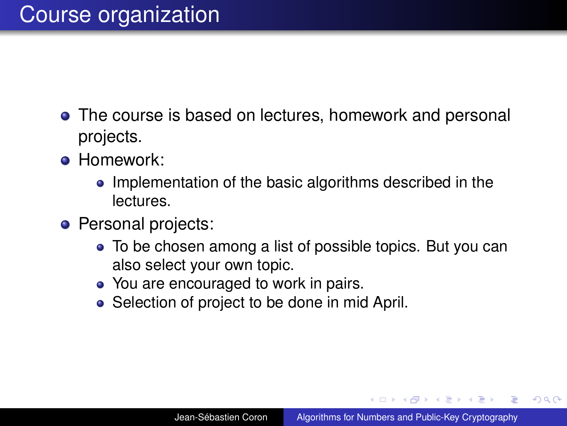## Course organization

- **•** The course is based on lectures, homework and personal projects.
- **Homework:** 
	- Implementation of the basic algorithms described in the lectures.
- Personal projects:
	- To be chosen among a list of possible topics. But you can also select your own topic.
	- You are encouraged to work in pairs.
	- Selection of project to be done in mid April.

**K ロ ト K 何 ト K ヨ ト**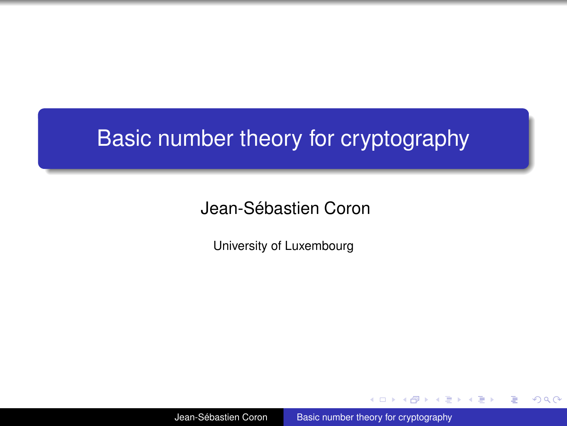# Basic number theory for cryptography

Jean-Sébastien Coron

University of Luxembourg

Jean-Sébastien Coron [Basic number theory for cryptography](#page-0-0)

 $\mathcal{A} \xrightarrow{\sim} \mathcal{B} \xrightarrow{\sim} \mathcal{A} \xrightarrow{\sim} \mathcal{B} \xrightarrow{\sim} \mathcal{B}$ 

 $\leftarrow$   $\leftarrow$   $\leftarrow$ 4 0 8

重

 $2990$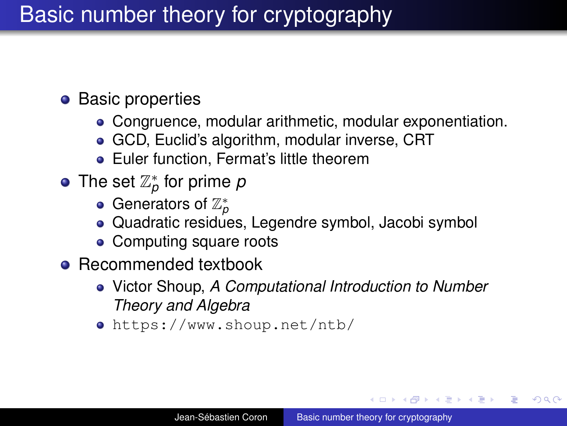# **Basic number theory for cryptography**

- **•** Basic properties
	- Congruence, modular arithmetic, modular exponentiation.
	- GCD, Euclid's algorithm, modular inverse, CRT
	- Euler function, Fermat's little theorem
- The set  $\mathbb{Z}_p^*$  for prime  $p$ 
	- Generators of  $\mathbb{Z}_p^*$
	- Quadratic residues, Legendre symbol, Jacobi symbol
	- Computing square roots
- Recommended textbook
	- Victor Shoup, *A Computational Introduction to Number Theory and Algebra*
	- <https://www.shoup.net/ntb/>

イロト イ押 トイヨ トイヨ トー

B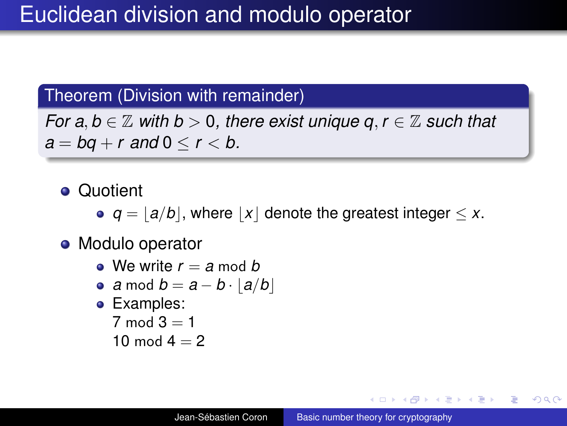#### Theorem (Division with remainder)

*For a, b*  $\in \mathbb{Z}$  *with b*  $> 0$ *, there exist unique q, r*  $\in \mathbb{Z}$  *such that*  $a = bq + r$  and  $0 \le r \le b$ .

#### **o** Quotient

•  $q = |a/b|$ , where  $|x|$  denote the greatest integer  $\leq x$ .

#### • Modulo operator

- $\bullet$  We write  $r = a \mod b$
- **a** mod  $b = a b \cdot |a/b|$
- Examples:
	- 7 mod  $3 = 1$
	- 10 mod  $4 = 2$

K 何 ▶ K ヨ ▶ K ヨ ▶ ...

÷.  $QQ$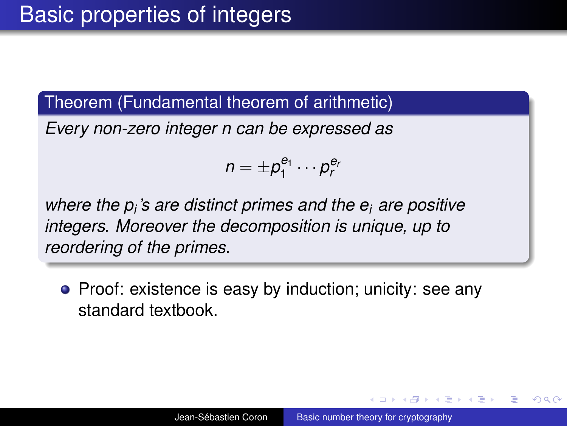Theorem (Fundamental theorem of arithmetic)

*Every non-zero integer n can be expressed as*

$$
n=\pm p_1^{e_1}\cdots p_r^{e_r}
$$

*where the p<sup>i</sup> 's are distinct primes and the e<sup>i</sup> are positive integers. Moreover the decomposition is unique, up to reordering of the primes.*

• Proof: existence is easy by induction; unicity: see any standard textbook.

化重新润滑剂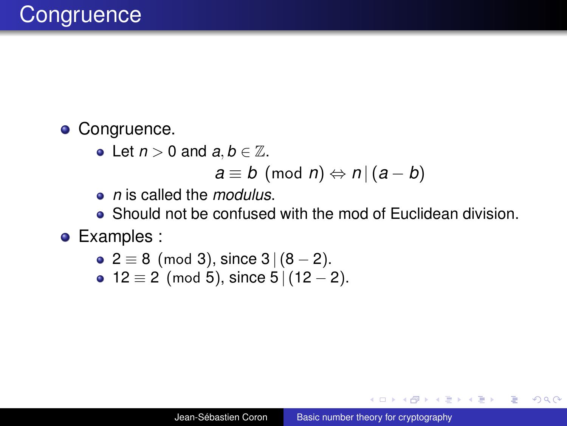#### **• Congruence.**

• Let 
$$
n > 0
$$
 and  $a, b \in \mathbb{Z}$ .

$$
a \equiv b \pmod{n} \Leftrightarrow n \, | \, (a - b)
$$

- *n* is called the *modulus*.
- Should not be confused with the mod of Euclidean division.

#### **•** Examples :

• 
$$
2 \equiv 8 \pmod{3}
$$
, since  $3|(8-2)$ .

•  $12 \equiv 2 \pmod{5}$ , since  $5 \mid (12 - 2)$ .

 $\left\{ \left( \left| \mathbf{P} \right| \right) \in \mathbb{R} \right\} \times \left\{ \left| \mathbf{P} \right| \right\}$ 

4 0 8

÷.

 $2990$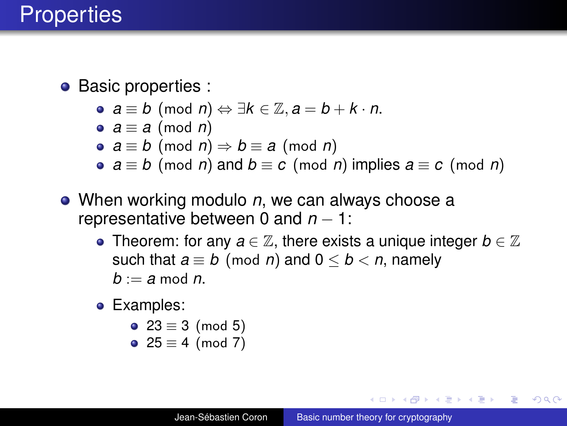• Basic properties :

- *a* ≡ *b* (mod *n*) ⇔ ∃*k* ∈ Z, *a* = *b* + *k* · *n*.
- *a* ≡ *a* (mod *n*)
- *a* ≡ *b* (mod *n*) ⇒ *b* ≡ *a* (mod *n*)
- *a*  $\equiv$  *b* (mod *n*) and *b*  $\equiv$  *c* (mod *n*) implies *a*  $\equiv$  *c* (mod *n*)
- When working modulo *n*, we can always choose a representative between 0 and *n* − 1:
	- Theorem: for any  $a \in \mathbb{Z}$ , there exists a unique integer  $b \in \mathbb{Z}$ such that  $a \equiv b \pmod{n}$  and  $0 \leq b < n$ , namely  $b := a \mod n$ .
	- Examples:

$$
23 \equiv 3 \pmod{5}
$$

$$
25 \equiv 4 \pmod{7}
$$

イロト イ押 トイヨ トイヨト

B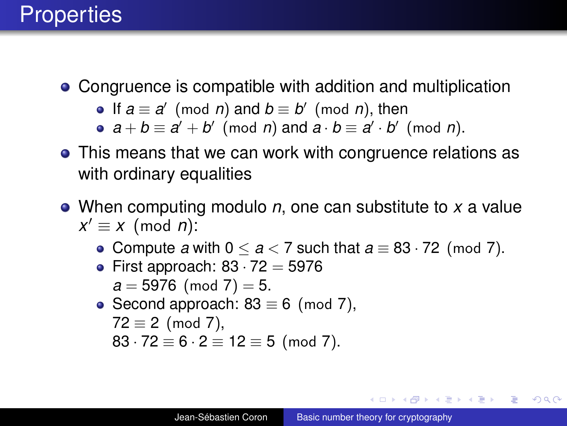### **Properties**

- Congruence is compatible with addition and multiplication
	- If  $a \equiv a' \pmod{n}$  and  $b \equiv b' \pmod{n}$ , then
	- $a + b \equiv a' + b' \pmod{n}$  and  $a \cdot b \equiv a' \cdot b' \pmod{n}$ .
- This means that we can work with congruence relations as with ordinary equalities
- When computing modulo *n*, one can substitute to *x* a value  $x' \equiv x \pmod{n}$ :
	- Compute *a* with  $0 \le a < 7$  such that  $a \equiv 83 \cdot 72$  (mod 7).
	- First approach:  $83 \cdot 72 = 5976$  $a = 5976 \pmod{7} = 5$ .
	- Second approach:  $83 \equiv 6 \pmod{7}$ ,  $72 \equiv 2 \pmod{7}$ ,

 $83 \cdot 72 \equiv 6 \cdot 2 \equiv 12 \equiv 5 \pmod{7}$ .

**≮ロ ▶ ⊀ 御 ▶ ⊀ ヨ ▶ ⊀ ヨ ▶** 

B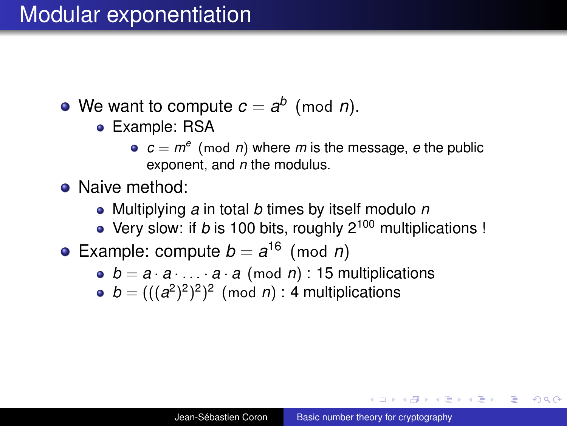## Modular exponentiation

- We want to compute  $c = a^b \pmod{n}$ .
	- **•** Example: RSA
		- $c = m^e$  (mod *n*) where *m* is the message, *e* the public exponent, and *n* the modulus.
- Naive method:
	- Multiplying *a* in total *b* times by itself modulo *n*
	- Very slow: if *b* is 100 bits, roughly  $2^{100}$  multiplications !
- Example: compute  $b = a^{16} \pmod{n}$ 
	- $b = a \cdot a \cdot \ldots \cdot a \cdot a$  (mod *n*) : 15 multiplications
	- $b = (((a^2)^2)^2)^2$  (mod *n*) : 4 multiplications

イロト イ伊 トイヨ トイヨ トー

G.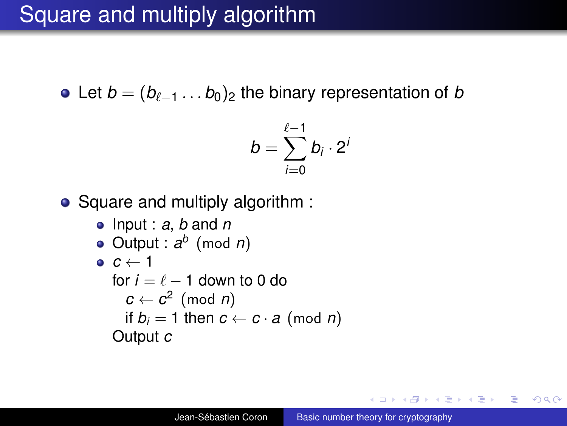## Square and multiply algorithm

• Let  $b = (b_{\ell-1} \ldots b_0)$  the binary representation of *b* 

$$
b = \sum_{i=0}^{\ell-1} b_i \cdot 2^i
$$

• Square and multiply algorithm :

\n- Input : *a*, *b* and *n*
\n- Output : 
$$
a^b \pmod{n}
$$
\n- $c \leftarrow 1$
\n- for  $i = \ell - 1$  down to 0 do
\n- $c \leftarrow c^2 \pmod{n}$
\n- if  $b_i = 1$  then  $c \leftarrow c \cdot a \pmod{n}$
\n- Output  $c$
\n

K 何 ▶ K ヨ ▶ K ヨ ▶

÷.  $QQ$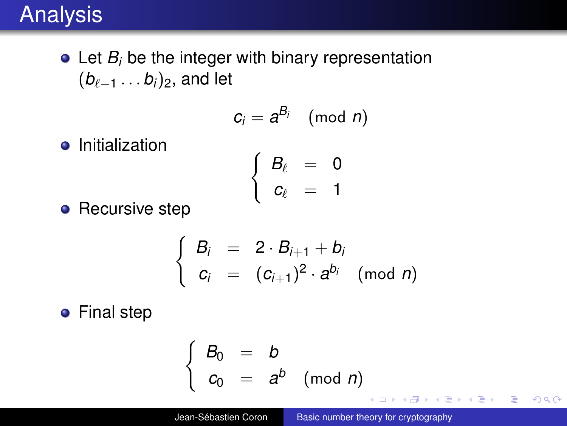## Analysis

• Let *B<sub>i</sub>* be the integer with binary representation  $(b_{\ell-1} \ldots b_i)_2$ , and let

$$
c_i = a^{B_i} \pmod{n}
$$

**•** Initialization

$$
\left\{\n \begin{array}{rcl}\n B_{\ell} & = & 0 \\
 c_{\ell} & = & 1\n \end{array}\n\right.
$$

• Recursive step

$$
\begin{cases}\nB_i = 2 \cdot B_{i+1} + b_i \\
c_i = (c_{i+1})^2 \cdot a^{b_i} \pmod{n}\n\end{cases}
$$

**•** Final step

$$
\left\{\n \begin{array}{ccc}\n B_0 & = & b \\
 c_0 & = & a^b \pmod{n}\n \end{array}\n\right.
$$

イロト イ団ト イヨト イヨト

重

 $2990$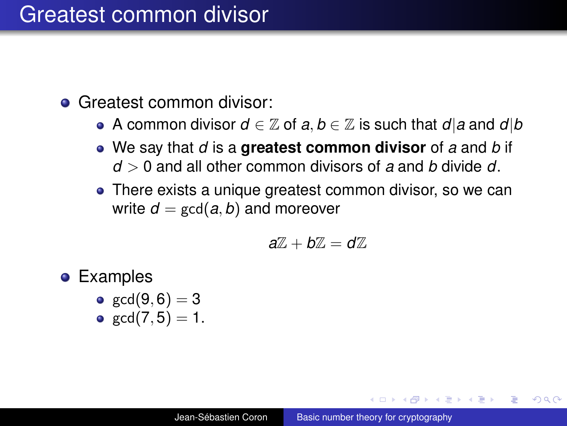## Greatest common divisor

#### **• Greatest common divisor:**

- $\bullet$  A common divisor *d* ∈  $\mathbb{Z}$  of *a*, *b* ∈  $\mathbb{Z}$  is such that *d*|*a* and *d*|*b*
- We say that *d* is a **greatest common divisor** of *a* and *b* if *d* > 0 and all other common divisors of *a* and *b* divide *d*.
- There exists a unique greatest common divisor, so we can write  $d = \gcd(a, b)$  and moreover

$$
a\mathbb{Z}+b\mathbb{Z}=d\mathbb{Z}
$$

- **•** Examples
	- $gcd(9, 6) = 3$
	- $gcd(7, 5) = 1$ .

K 何 ▶ K ヨ ▶ K ヨ ▶ ...

B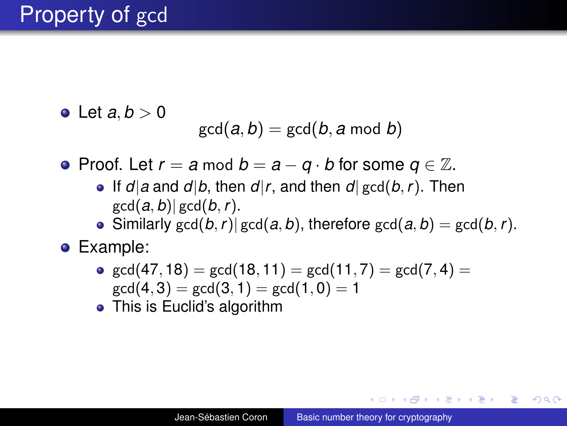# Property of gcd

• Let  $a, b > 0$ 

$$
\gcd(a,b)=\gcd(b,a \bmod b)
$$

- **•** Proof. Let  $r = a \mod b = a q \cdot b$  for some  $q \in \mathbb{Z}$ .
	- $\bullet$  If *d*|*a* and *d*|*b*, then *d*|*r*, and then *d*|*gcd*(*b,r*). Then  $gcd(a, b)$ |  $gcd(b, r)$ .
	- $\bullet$  Similarly gcd(*b*, *r*)| gcd(*a*, *b*), therefore gcd(*a*, *b*) = gcd(*b*, *r*).
- Example:
	- $gcd(47, 18) = gcd(18, 11) = gcd(11, 7) = gcd(7, 4)$  $gcd(4, 3) = gcd(3, 1) = gcd(1, 0) = 1$
	- This is Euclid's algorithm

K ロ ▶ K 御 ▶ K ヨ ▶ K ヨ ▶ ...

(重)  $QQ$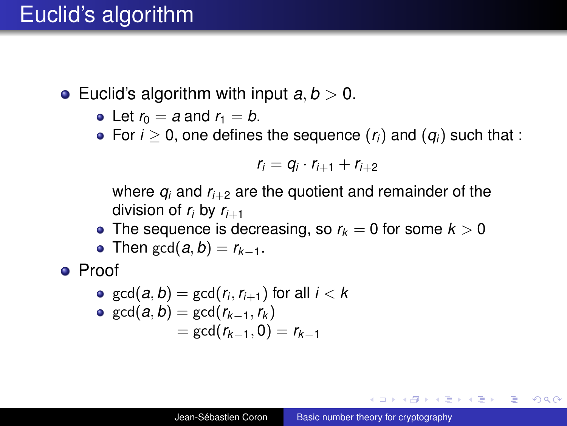## Euclid's algorithm

- $\bullet$  Euclid's algorithm with input  $a, b > 0$ .
	- Let  $r_0 = a$  and  $r_1 = b$ .
	- For  $i > 0$ , one defines the sequence  $(r_i)$  and  $(q_i)$  such that :

$$
r_i = q_i \cdot r_{i+1} + r_{i+2}
$$

where  $q_i$  and  $r_{i+2}$  are the quotient and remainder of the division of  $r_i$  by  $r_{i+1}$ 

- The sequence is decreasing, so  $r_k = 0$  for some  $k > 0$
- Then  $gcd(a, b) = r_{k-1}$ .
- Proof

\n- $$
gcd(a, b) = gcd(r_i, r_{i+1})
$$
 for all  $i < k$
\n- $gcd(a, b) = gcd(r_{k-1}, r_k)$
\n- $gcd(r_{k-1}, 0) = r_{k-1}$
\n

 $2990$ 

÷.

**≮ロ ▶ ⊀ 御 ▶ ⊀ ヨ ▶ ⊀ ヨ ▶**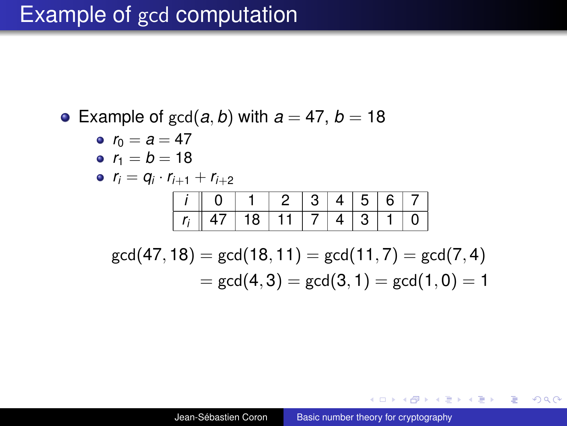### Example of gcd computation

 $\bullet$  $\bullet$  $\bullet$ 

• Example of  $gcd(a, b)$  with  $a = 47$ ,  $b = 18$ 

*r*<sup>0</sup> = *a* = 47 *r*<sup>1</sup> = *b* = 18 *r<sup>i</sup>* = *q<sup>i</sup>* · *ri*+<sup>1</sup> + *ri*+<sup>2</sup> *i* 0 1 2 3 4 5 6 7 *r<sup>i</sup>* 47 18 11 7 4 3 1 0

$$
\begin{aligned} \gcd(47,18)=\gcd(18,11)=\gcd(11,7)=\gcd(7,4) \\ =\gcd(4,3)=\gcd(3,1)=\gcd(1,0)=1 \end{aligned}
$$

**K ロ ▶ K 何 ▶ K ヨ ▶ K ヨ ▶** 

高山  $2990$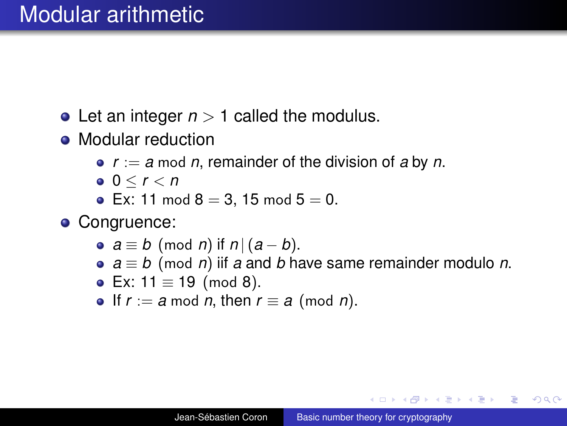### Modular arithmetic

- Let an integer  $n > 1$  called the modulus.
- Modular reduction
	- *r* := *a* mod *n*, remainder of the division of *a* by *n*.
	- $0 < r < n$
	- Ex: 11 mod  $8 = 3$ , 15 mod  $5 = 0$ .
- Congruence:
	- $a \equiv b \pmod{n}$  if  $n | (a b)$ .
	- *a* ≡ *b* (mod *n*) iif *a* and *b* have same remainder modulo *n*.
	- Ex:  $11 \equiv 19 \pmod{8}$ .
	- $\bullet$  If *r* := *a* mod *n*, then *r* ≡ *a* (mod *n*).

イロト イ押 トイヨ トイヨト

B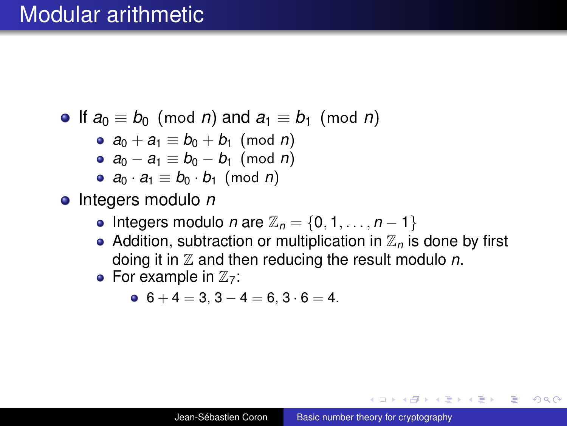### Modular arithmetic

• If 
$$
a_0 \equiv b_0 \pmod{n}
$$
 and  $a_1 \equiv b_1 \pmod{n}$ 

$$
\bullet \ \ a_0 + a_1 \equiv b_0 + b_1 \pmod{n}
$$

$$
\bullet \ \ a_0-a_1\equiv b_0-b_1 \ \ (\text{mod}\ \ n)
$$

$$
\bullet \ \ a_0 \cdot a_1 \equiv b_0 \cdot b_1 \ (\text{mod } n)
$$

- Integers modulo *n*
	- $\bullet$  Integers modulo *n* are  $\mathbb{Z}_n = \{0, 1, \ldots, n-1\}$
	- Addition, subtraction or multiplication in  $\mathbb{Z}_n$  is done by first doing it in Z and then reducing the result modulo *n*.
	- For example in  $\mathbb{Z}_7$ :

• 
$$
6 + 4 = 3
$$
,  $3 - 4 = 6$ ,  $3 \cdot 6 = 4$ .

イロメ イ押 メイヨメ イヨメ

B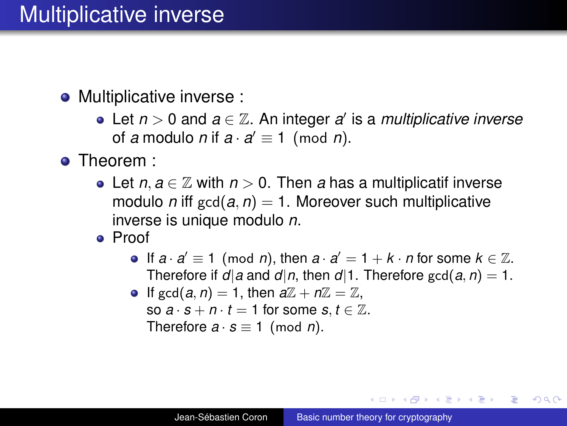### Multiplicative inverse

- Multiplicative inverse :
	- Let  $n > 0$  and  $a \in \mathbb{Z}$ . An integer  $a'$  is a *multiplicative inverse* of *a* modulo *n* if  $a \cdot a' \equiv 1 \pmod{n}$ .
- Theorem :
	- Let *n*, *a* ∈ Z with *n* > 0. Then *a* has a multiplicatif inverse modulo *n* iff  $gcd(a, n) = 1$ . Moreover such multiplicative inverse is unique modulo *n*.
	- Proof
		- If  $a \cdot a' \equiv 1 \pmod{n}$ , then  $a \cdot a' = 1 + k \cdot n$  for some  $k \in \mathbb{Z}$ . Therefore if  $d|a$  and  $d|n$ , then  $d|1$ . Therefore  $gcd(a, n) = 1$ .
		- $\bullet$  If gcd(*a*, *n*) = 1, then  $a\mathbb{Z} + n\mathbb{Z} = \mathbb{Z}$ , so  $a \cdot s + n \cdot t = 1$  for some  $s, t \in \mathbb{Z}$ . Therefore  $a \cdot s \equiv 1 \pmod{n}$ .

**≮ロ ▶ ⊀ 御 ▶ ⊀ ヨ ▶ ⊀ ヨ ▶** 

B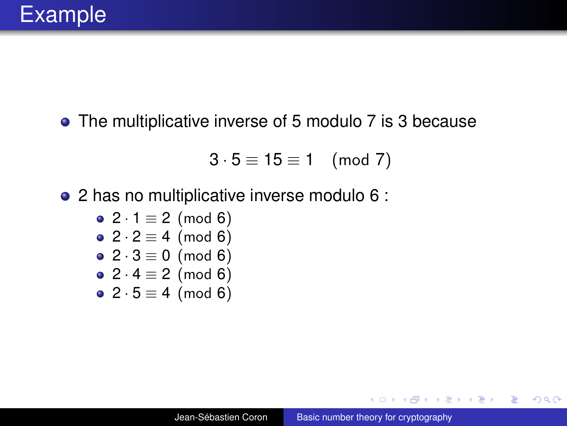

• The multiplicative inverse of 5 modulo 7 is 3 because

$$
3\cdot 5\equiv 15\equiv 1\pmod 7
$$

2 has no multiplicative inverse modulo 6 :

\n- $$
2 \cdot 1 \equiv 2 \pmod{6}
$$
\n- $2 \cdot 2 \equiv 4 \pmod{6}$
\n- $2 \cdot 3 \equiv 0 \pmod{6}$
\n- $2 \cdot 4 \equiv 2 \pmod{6}$
\n- $2 \cdot 5 \equiv 4 \pmod{6}$
\n

**K ロ ▶ K 何 ▶ K ヨ ▶ K ヨ ▶** 

重。  $2990$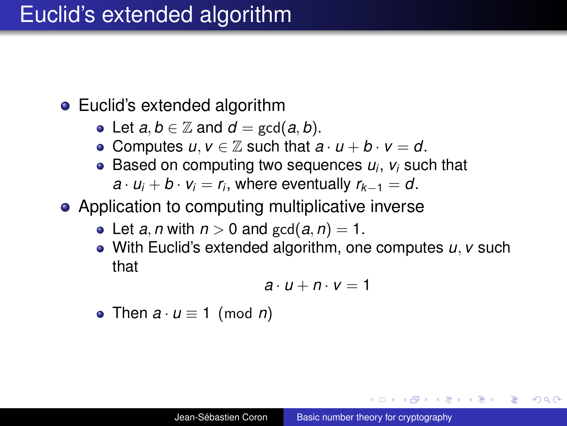## Euclid's extended algorithm

#### • Euclid's extended algorithm

- Let  $a, b \in \mathbb{Z}$  and  $d = \gcd(a, b)$ .
- Computes  $u, v \in \mathbb{Z}$  such that  $a \cdot u + b \cdot v = d$ .
- Based on computing two sequences *u<sup>i</sup>* , *v<sup>i</sup>* such that  $a \cdot u_i + b \cdot v_i = r_i$ , where eventually  $r_{k-1} = d$ .
- Application to computing multiplicative inverse
	- Let *a*, *n* with  $n > 0$  and gcd(*a*, *n*) = 1.
	- With Euclid's extended algorithm, one computes *u*, *v* such that

$$
a\cdot u+n\cdot v=1
$$

Then *a* · *u* ≡ 1 (mod *n*)

イロト イ押 トイヨ トイヨト

B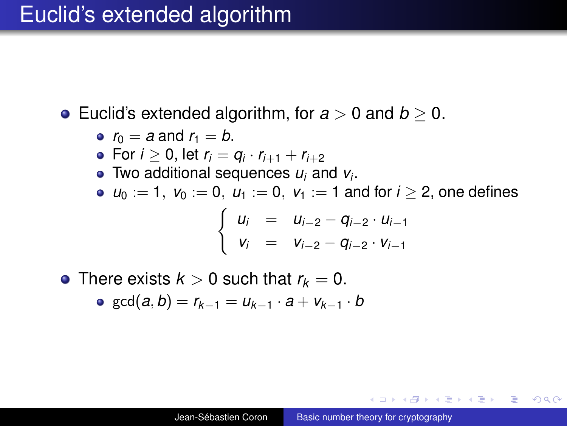### Euclid's extended algorithm

• Euclid's extended algorithm, for  $a > 0$  and  $b \ge 0$ .

\n- • 
$$
r_0 = a
$$
 and  $r_1 = b$ .
\n- • For  $i \geq 0$ , let  $r_i = q_i \cdot r_{i+1} + r_{i+2}$
\n- • Two additional sequences  $u_i$  and  $v_i$ .
\n- •  $u_0 := 1$ ,  $v_0 := 0$ ,  $u_1 := 0$ ,  $v_1 := 1$  and for  $i \geq 2$ , one defines
\n- •  $\begin{cases} u_i = u_{i-2} - q_{i-2} \cdot u_{i-1} \\ v_i = v_{i-2} - q_{i-2} \cdot v_{i-1} \end{cases}$
\n

• There exists  $k > 0$  such that  $r_k = 0$ .

• 
$$
gcd(a, b) = r_{k-1} = u_{k-1} \cdot a + v_{k-1} \cdot b
$$

→ 重 × → 重 × …

÷.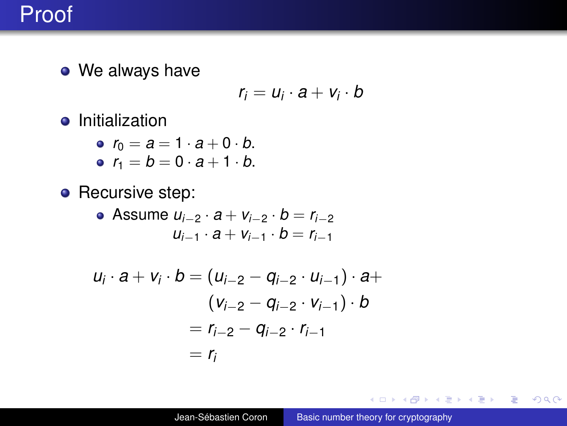## Proof

• We always have

$$
r_i = u_i \cdot a + v_i \cdot b
$$

**•** Initialization

• 
$$
r_0 = a = 1 \cdot a + 0 \cdot b
$$
.  
\n•  $r_1 = b = 0 \cdot a + 1 \cdot b$ .

• Recursive step:

Assume *ui*−<sup>2</sup> · *a* + *vi*−<sup>2</sup> · *b* = *ri*−<sup>2</sup> *u*<sub>*i*−1</sub> · *a* + *v*<sub>*i*−1</sub> · *b* = *r*<sub>*i*−1</sub>

$$
u_i \cdot a + v_i \cdot b = (u_{i-2} - q_{i-2} \cdot u_{i-1}) \cdot a +
$$
  
\n
$$
(v_{i-2} - q_{i-2} \cdot v_{i-1}) \cdot b
$$
  
\n
$$
= r_{i-2} - q_{i-2} \cdot r_{i-1}
$$
  
\n
$$
= r_i
$$

イロト イ押 トイヨ トイヨ トー

重。  $299$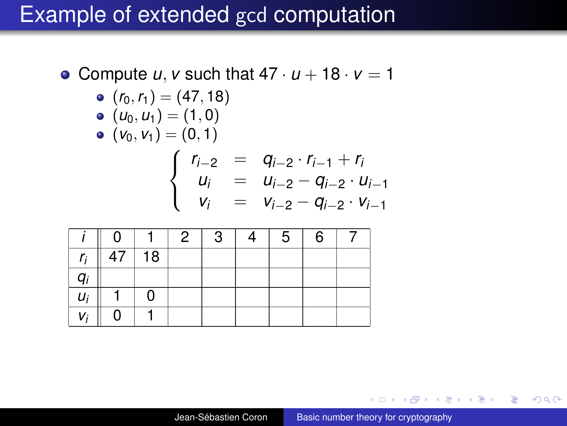• Compute *u*, *v* such that  $47 \cdot u + 18 \cdot v = 1$ 

\n- \n
$$
(r_0, r_1) = (47, 18)
$$
\n
\n- \n
$$
(u_0, u_1) = (1, 0)
$$
\n
\n- \n
$$
(v_0, v_1) = (0, 1)
$$
\n
\n- \n
$$
\begin{cases}\n r_{i-2} = q_{i-2} \cdot r_{i-1} + r_i \\
 u_i = u_{i-2} - q_{i-2} \cdot u_{i-1} \\
 v_i = v_{i-2} - q_{i-2} \cdot v_{i-1}\n \end{cases}
$$
\n
\n

|       | 0 |    | $\mathbf{2}^{\circ}$ | ູ | 5 | 6 |  |
|-------|---|----|----------------------|---|---|---|--|
| r:    |   | 18 |                      |   |   |   |  |
| $q_i$ |   |    |                      |   |   |   |  |
| $U_i$ |   |    |                      |   |   |   |  |
| $V_i$ |   |    |                      |   |   |   |  |

重き メラメー

 $2990$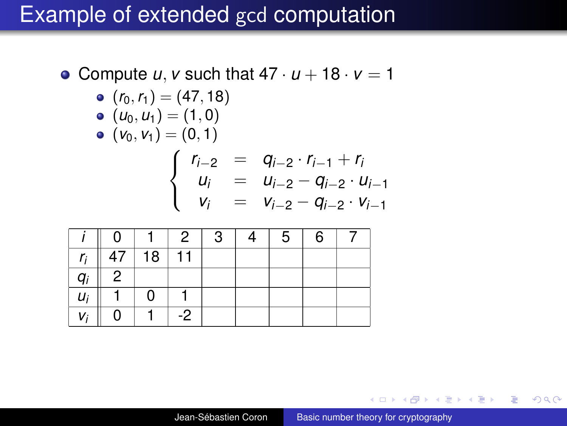• Compute *u*, *v* such that  $47 \cdot u + 18 \cdot v = 1$ 

\n- \n
$$
(r_0, r_1) = (47, 18)
$$
\n
\n- \n
$$
(u_0, u_1) = (1, 0)
$$
\n
\n- \n
$$
(v_0, v_1) = (0, 1)
$$
\n
\n- \n
$$
\begin{cases}\n r_{i-2} = q_{i-2} \cdot r_{i-1} + r_i \\
 u_i = u_{i-2} - q_{i-2} \cdot u_{i-1} \\
 v_i = v_{i-2} - q_{i-2} \cdot v_{i-1}\n \end{cases}
$$
\n
\n

|                | O  |    | $\overline{2}$ | 3 | 5 | 6 |  |
|----------------|----|----|----------------|---|---|---|--|
| r <sub>i</sub> | 47 | 18 | 11             |   |   |   |  |
| $q_i$          | 2  |    |                |   |   |   |  |
| $U_i$          |    | ი  |                |   |   |   |  |
| Vi             | O  |    | -2             |   |   |   |  |

重き メラメー

 $2990$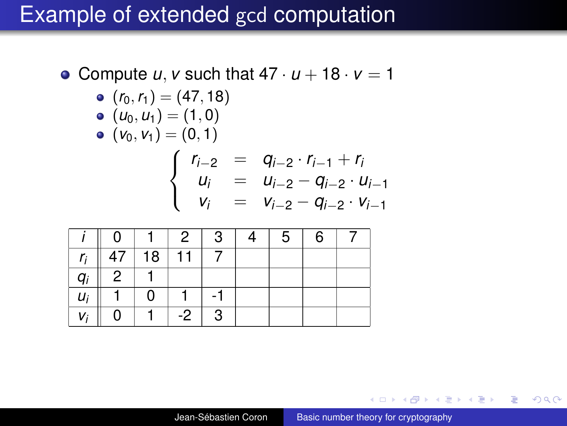• Compute *u*, *v* such that  $47 \cdot u + 18 \cdot v = 1$ 

\n- \n
$$
(r_0, r_1) = (47, 18)
$$
\n
\n- \n
$$
(u_0, u_1) = (1, 0)
$$
\n
\n- \n
$$
(v_0, v_1) = (0, 1)
$$
\n
\n- \n
$$
\begin{cases}\n r_{i-2} = q_{i-2} \cdot r_{i-1} + r_i \\
 u_i = u_{i-2} - q_{i-2} \cdot u_{i-1} \\
 v_i = v_{i-2} - q_{i-2} \cdot v_{i-1}\n \end{cases}
$$
\n
\n

|       | O  |    | $\mathbf{2}$ | 3 | 5 | 6 |  |
|-------|----|----|--------------|---|---|---|--|
| r:    | 47 | 18 | 11           |   |   |   |  |
| $q_i$ | 2  |    |              |   |   |   |  |
| $U_i$ |    |    |              |   |   |   |  |
| Vi    | O  |    | -2           | ູ |   |   |  |

重き メラメー

 $2990$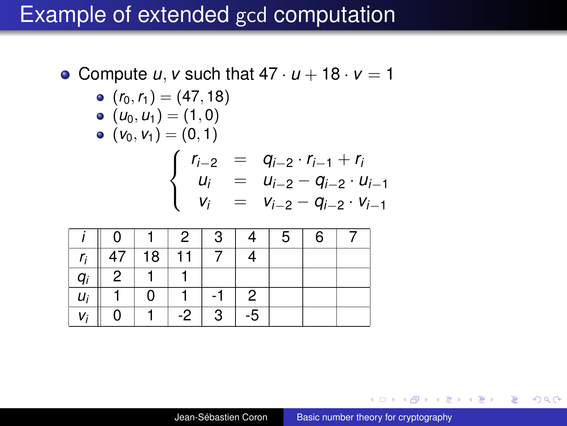• Compute *u*, *v* such that  $47 \cdot u + 18 \cdot v = 1$ 

\n- \n
$$
(r_0, r_1) = (47, 18)
$$
\n
\n- \n
$$
(u_0, u_1) = (1, 0)
$$
\n
\n- \n
$$
(v_0, v_1) = (0, 1)
$$
\n
\n- \n
$$
\begin{cases}\n r_{i-2} = q_{i-2} \cdot r_{i-1} + r_i \\
 u_i = u_{i-2} - q_{i-2} \cdot u_{i-1} \\
 v_i = v_{i-2} - q_{i-2} \cdot v_{i-1}\n \end{cases}
$$
\n
\n

|       | O  |    | $\overline{2}$ | 3 |    | 5 | 6 |  |
|-------|----|----|----------------|---|----|---|---|--|
| r,    | 47 | 18 | 11             |   |    |   |   |  |
| $q_i$ | 2  |    |                |   |    |   |   |  |
| $U_i$ |    | 0  |                |   | 2  |   |   |  |
| Vi    | 0  |    | -2             | ູ | -5 |   |   |  |

→ 重き 4 重き 。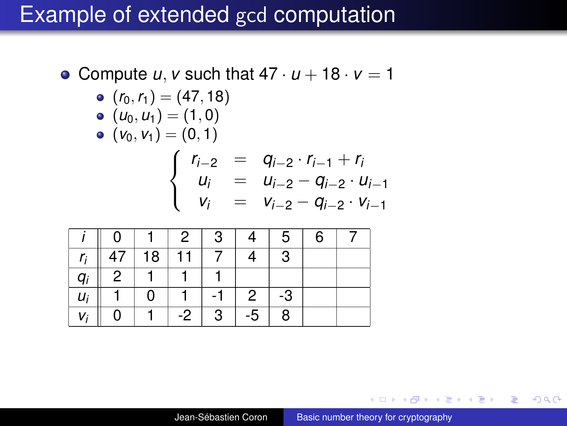• Compute *u*, *v* such that  $47 \cdot u + 18 \cdot v = 1$ 

\n- \n
$$
(r_0, r_1) = (47, 18)
$$
\n
\n- \n
$$
(u_0, u_1) = (1, 0)
$$
\n
\n- \n
$$
(v_0, v_1) = (0, 1)
$$
\n
\n- \n
$$
\begin{cases}\n r_{i-2} = q_{i-2} \cdot r_{i-1} + r_i \\
 u_i = u_{i-2} - q_{i-2} \cdot u_{i-1} \\
 v_i = v_{i-2} - q_{i-2} \cdot v_{i-1}\n \end{cases}
$$
\n
\n

|       | O              |    | 2  | 3 |    | 5  | 6 |  |
|-------|----------------|----|----|---|----|----|---|--|
| r,    | 47             | 18 | 11 |   |    | 3  |   |  |
| $q_i$ | $\overline{2}$ |    |    |   |    |    |   |  |
| $U_i$ |                | 0  |    |   | 2  | -3 |   |  |
| Vi    | 0              |    | -2 | 3 | -5 | 8  |   |  |

→ 重き 4 重き 。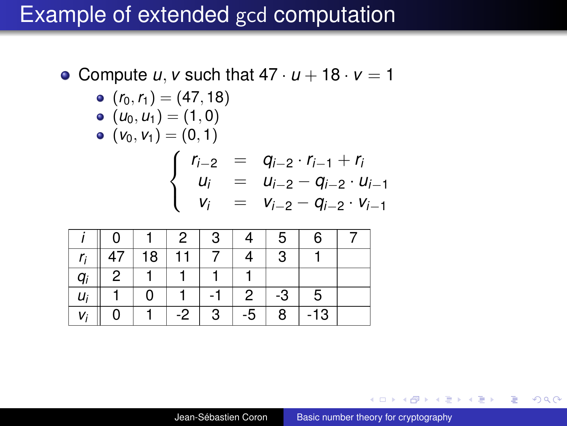• Compute *u*, *v* such that  $47 \cdot u + 18 \cdot v = 1$ 

\n- $$
(r_0, r_1) = (47, 18)
$$
\n- $(u_0, u_1) = (1, 0)$
\n

$$
(\nu_0, \nu_1) = (0, 1)
$$

$$
\begin{cases}\n r_{i-2} &= q_{i-2} \cdot r_{i-1} + r_i \\
 u_i &= u_{i-2} - q_{i-2} \cdot u_{i-1} \\
 v_i &= v_{i-2} - q_{i-2} \cdot v_{i-1}\n\end{cases}
$$

|                | O |    | 2  |   |    | b  | 6   |  |
|----------------|---|----|----|---|----|----|-----|--|
| r:             |   | 18 | 11 |   |    | Q  |     |  |
| q <sub>i</sub> | 2 |    |    |   |    |    |     |  |
| $U_i$          |   | ი  |    |   | 2  | -3 | 5   |  |
| Vi             | 0 |    | -2 | 3 | -5 | 8  | -13 |  |

4 0 8

K 何 ▶ K ヨ ▶ K ヨ ▶

 $\equiv$  990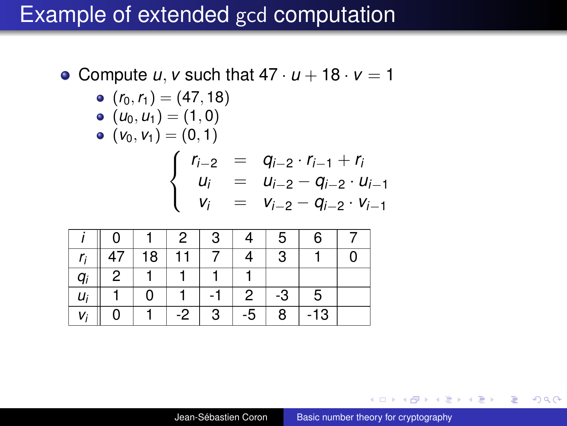• Compute *u*, *v* such that  $47 \cdot u + 18 \cdot v = 1$ 

\n- $$
(r_0, r_1) = (47, 18)
$$
\n- $(u_0, u_1) = (1, 0)$
\n

$$
(\nu_0, \nu_1) = (0, 1)
$$

$$
\begin{cases}\n r_{i-2} = q_{i-2} \cdot r_{i-1} + r_i \\
 u_i = u_{i-2} - q_{i-2} \cdot u_{i-1} \\
 v_i = v_{i-2} - q_{i-2} \cdot v_{i-1}\n\end{cases}
$$

|       | 0 |    | 2  |    | b  | 6   |  |
|-------|---|----|----|----|----|-----|--|
| r:    |   | 18 | 11 |    |    |     |  |
| $q_i$ | 2 |    |    |    |    |     |  |
| $U_i$ |   | 0  |    | 2  | -3 | 5   |  |
| Vi    | U |    | -2 | -5 | 8  | -13 |  |

4 0 8

K 何 ▶ K ヨ ▶ K ヨ ▶ ...

 $\equiv$  990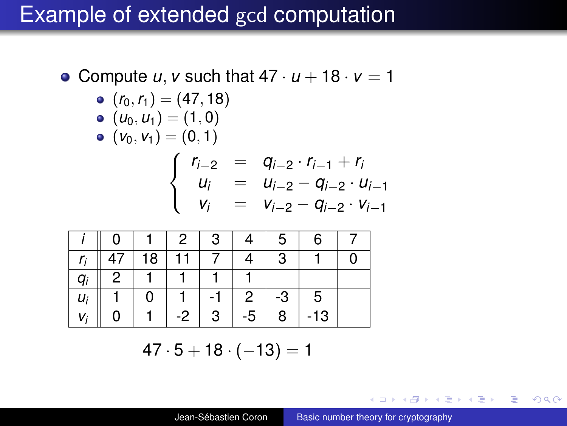• Compute *u*, *v* such that  $47 \cdot u + 18 \cdot v = 1$ 

\n- \n
$$
(r_0, r_1) = (47, 18)
$$
\n
\n- \n
$$
(u_0, u_1) = (1, 0)
$$
\n
\n- \n
$$
(v_0, v_1) = (0, 1)
$$
\n
\n- \n
$$
\begin{cases}\n r_{i-2} = q_{i-2} \cdot r_{i-1} + r_i \\
 u_i = u_{i-2} - q_{i-2} \cdot u_{i-1} \\
 v_i = v_{i-2} - q_{i-2} \cdot v_{i-1}\n \end{cases}
$$
\n
\n

|       | O |    | $\mathbf{z}$ |    | G  | 6   |  |
|-------|---|----|--------------|----|----|-----|--|
| r:    |   | 18 | 11           |    |    |     |  |
| $q_i$ | 2 |    |              |    |    |     |  |
| $U_i$ |   | ი  |              | 2  | -3 | 5   |  |
| Vi    | O |    | -2           | -5 | 8  | -13 |  |

 $47 \cdot 5 + 18 \cdot (-13) = 1$ 

(御) メミンメミン

 $2990$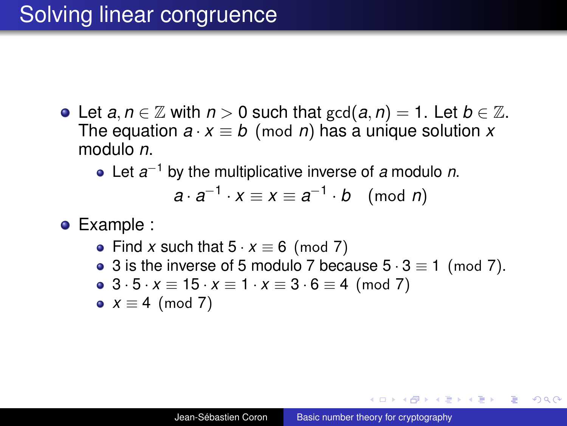- Let  $a, n \in \mathbb{Z}$  with  $n > 0$  such that  $gcd(a, n) = 1$ . Let  $b \in \mathbb{Z}$ . The equation  $a \cdot x \equiv b \pmod{n}$  has a unique solution *x* modulo *n*.
	- Let *a* <sup>−</sup><sup>1</sup> by the multiplicative inverse of *a* modulo *n*.

$$
a \cdot a^{-1} \cdot x \equiv x \equiv a^{-1} \cdot b \pmod{n}
$$

- **•** Example :
	- Find *x* such that  $5 \cdot x \equiv 6 \pmod{7}$
	- 3 is the inverse of 5 modulo 7 because  $5 \cdot 3 \equiv 1 \pmod{7}$ .
	- $\bullet$  3  $\cdot$  5  $\cdot$  *x*  $\equiv$  15  $\cdot$  *x*  $\equiv$  1  $\cdot$  *x*  $\equiv$  3  $\cdot$  6  $\equiv$  4 (mod 7)

$$
x \equiv 4 \pmod{7}
$$

**≮ロ ▶ ⊀ 御 ▶ ⊀ ヨ ▶ ⊀ ヨ ▶** 

÷.  $QQ$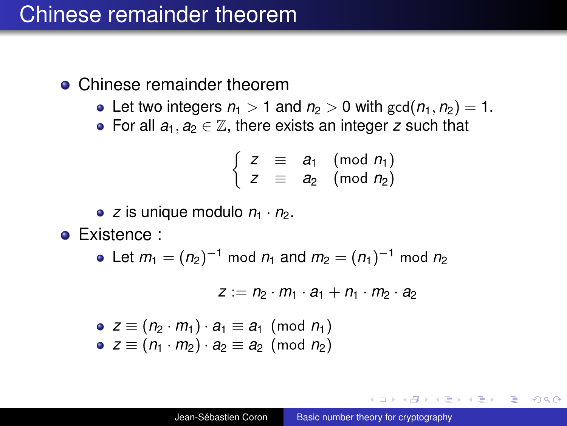#### Chinese remainder theorem

#### • Chinese remainder theorem

- Let two integers  $n_1 > 1$  and  $n_2 > 0$  with  $gcd(n_1, n_2) = 1$ .
- For all  $a_1, a_2 \in \mathbb{Z}$ , there exists an integer z such that

$$
\left\{\n \begin{array}{rcl}\n z & \equiv & a_1 \pmod{n_1} \\
 z & \equiv & a_2 \pmod{n_2}\n \end{array}\n\right.
$$

• *z* is unique modulo  $n_1 \cdot n_2$ .

**• Existence :** 

Let  $m_1 = (n_2)^{-1}$  mod  $n_1$  and  $m_2 = (n_1)^{-1}$  mod  $n_2$ 

$$
z:=n_2\cdot m_1\cdot a_1+n_1\cdot m_2\cdot a_2
$$

\n- $$
z \equiv (n_2 \cdot m_1) \cdot a_1 \equiv a_1 \pmod{n_1}
$$
\n- $z \equiv (n_1 \cdot m_2) \cdot a_2 \equiv a_2 \pmod{n_2}$
\n

K 何 ▶ K ヨ ▶ K ヨ ▶ ...

ミー  $QQ$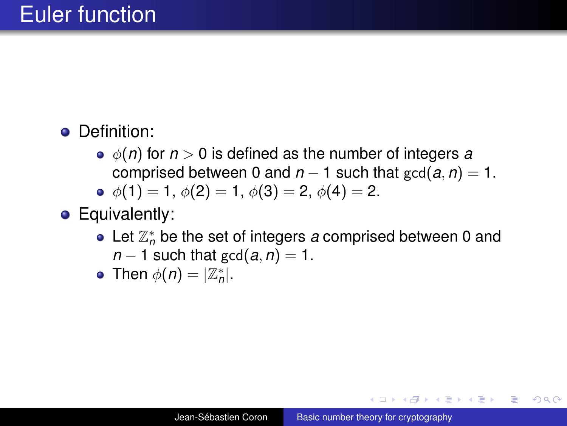#### **o** Definition:

 $\phi(n)$  for  $n > 0$  is defined as the number of integers a comprised between 0 and  $n - 1$  such that  $gcd(a, n) = 1$ .

• 
$$
\phi(1) = 1
$$
,  $\phi(2) = 1$ ,  $\phi(3) = 2$ ,  $\phi(4) = 2$ .

- **•** Equivalently:
	- Let  $\mathbb{Z}_n^*$  be the set of integers a comprised between 0 and  $n-1$  such that gcd( $a, n$ ) = 1.

• Then 
$$
\phi(n) = |\mathbb{Z}_n^*|
$$
.

- 4 周 8 3 日 8

 $\leftarrow$   $\Box$ 

B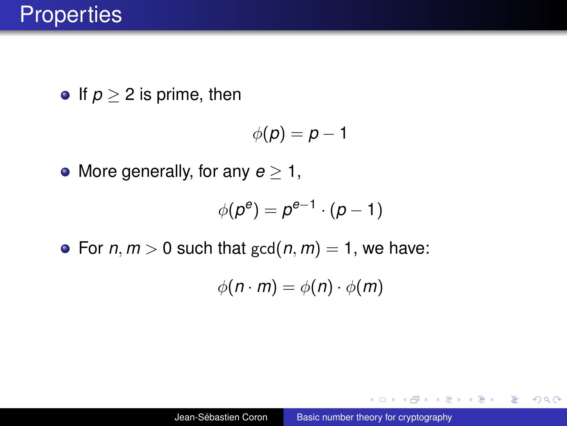**•** If  $p \ge 2$  is prime, then

$$
\phi(\boldsymbol{\rho}) = \boldsymbol{\rho} - \boldsymbol{1}
$$

• More generally, for any  $e > 1$ ,

$$
\phi(p^e) = p^{e-1} \cdot (p-1)
$$

• For  $n, m > 0$  such that  $gcd(n, m) = 1$ , we have:

$$
\phi(n\cdot m)=\phi(n)\cdot\phi(m)
$$

イロト イ押 トイヨ トイヨ トー

 $2990$ ミー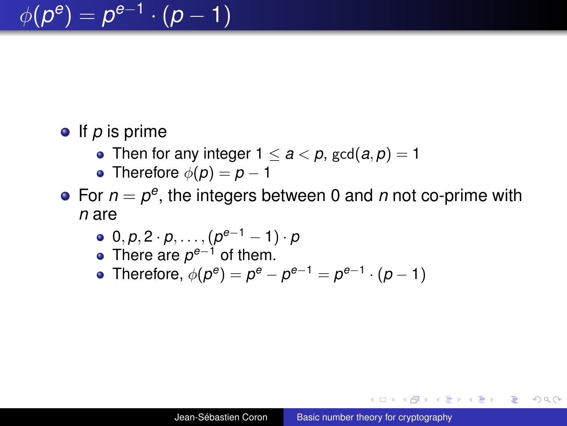$\phi(\boldsymbol{\rho}^{\boldsymbol{\mathrm{e}}})=\boldsymbol{\rho}^{\boldsymbol{\mathrm{e}}-1}\cdot(\boldsymbol{\rho}-1)$ 

#### • If *p* is prime

- Then for any integer  $1 \le a < p$ ,  $gcd(a, p) = 1$
- Therefore  $\phi(p) = p 1$
- For  $n = p^e$ , the integers between 0 and  $n$  not co-prime with *n* are
	- $0, p, 2\cdot p, \ldots, (p^{e-1}-1)\cdot p$
	- There are *p*<sup>e−1</sup> of them.
	- Therefore,  $\phi(p^e) = p^e p^{e-1} = p^{e-1} \cdot (p-1)$

イロト イ押 トイヨ トイヨ トー

ほい  $200$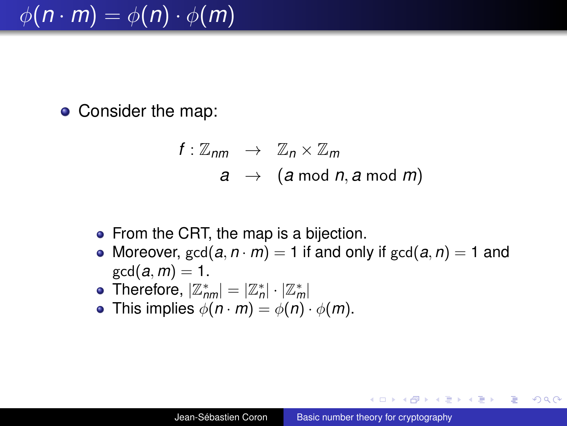$\phi(n \cdot m) = \phi(n) \cdot \phi(m)$ 

• Consider the map:

$$
f: \mathbb{Z}_{nm} \rightarrow \mathbb{Z}_n \times \mathbb{Z}_m
$$
  
 $a \rightarrow (a \mod n, a \mod m)$ 

- From the CRT, the map is a bijection.
- Moreover,  $gcd(a, n \cdot m) = 1$  if and only if  $gcd(a, n) = 1$  and  $gcd(a, m) = 1.$
- Therefore,  $|\mathbb{Z}_{nm}^*|=|\mathbb{Z}_n^*|\cdot|\mathbb{Z}_m^*|$
- This implies  $\phi(n \cdot m) = \phi(n) \cdot \phi(m)$ .

**≮ロ ▶ ⊀ 御 ▶ ⊀ ヨ ▶ ⊀ ヨ ▶** 

B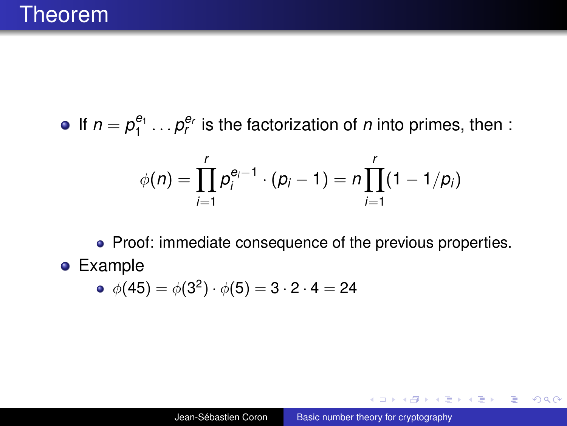If  $n = p_1^{e_1} \dots p_r^{e_r}$  is the factorization of *n* into primes, then :

$$
\phi(n) = \prod_{i=1}^r p_i^{e_i-1} \cdot (p_i-1) = n \prod_{i=1}^r (1-1/p_i)
$$

• Proof: immediate consequence of the previous properties. **•** Example

• 
$$
\phi(45) = \phi(3^2) \cdot \phi(5) = 3 \cdot 2 \cdot 4 = 24
$$

イロトメ 御 トメ 君 トメ 君 トー 君

 $2990$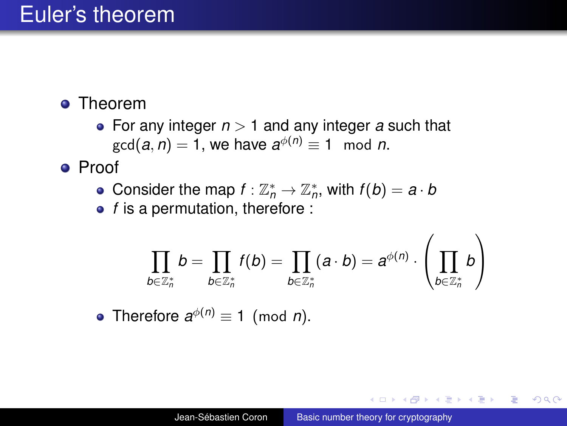### Euler's theorem

- **o** Theorem
	- For any integer *n* > 1 and any integer *a* such that  $gcd(a, n) = 1$ , we have  $a^{\phi(n)} \equiv 1 \mod n$ .

#### Proof

- Consider the map  $f: \mathbb{Z}_n^* \to \mathbb{Z}_n^*$ , with  $f(b) = a \cdot b$
- *f* is a permutation, therefore :

$$
\prod_{b\in\mathbb{Z}_n^*}b=\prod_{b\in\mathbb{Z}_n^*}f(b)=\prod_{b\in\mathbb{Z}_n^*}(a\cdot b)=a^{\phi(n)}\cdot\left(\prod_{b\in\mathbb{Z}_n^*}b\right)
$$

• Therefore 
$$
a^{\phi(n)} \equiv 1 \pmod{n}
$$
.

イロト イ押 トイヨ トイヨト

÷.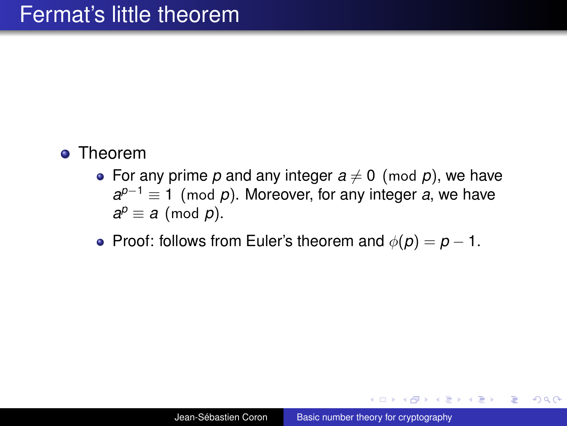#### **•** Theorem

- For any prime p and any integer  $a \neq 0$  (mod p), we have *a*<sup>*p*−1</sup> ≡ 1 (mod *p*). Moreover, for any integer *a*, we have  $a^p \equiv a \pmod{p}$ .
- Proof: follows from Euler's theorem and  $\phi(p) = p 1$ .

**K ロ ▶ K 何 ▶ K ヨ ▶ K ヨ ▶** 

÷.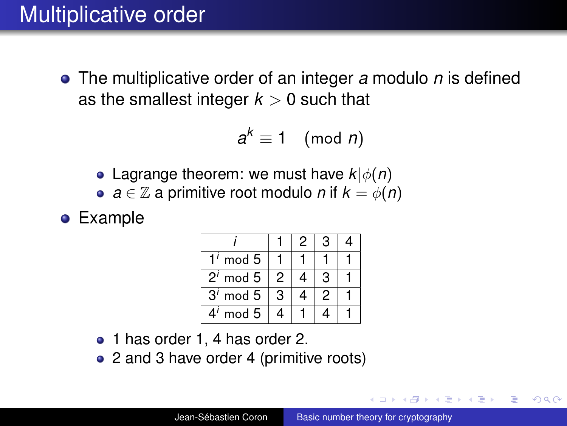## Multiplicative order

The multiplicative order of an integer *a* modulo *n* is defined as the smallest integer  $k > 0$  such that

$$
a^k \equiv 1 \pmod{n}
$$

- Lagrange theorem: we must have  $k|\phi(n)$
- $a \in \mathbb{Z}$  a primitive root modulo *n* if  $k = \phi(n)$

#### **•** Example

|                         |   | 2 | З |  |
|-------------------------|---|---|---|--|
| $1'$ mod $5$            |   |   |   |  |
| $2'$ mod 5              | 2 | Δ | 3 |  |
| $3'$ mod $5$            | 3 | 4 | 2 |  |
| 4 <sup>1</sup><br>mod 5 |   |   | 4 |  |

- 1 has order 1, 4 has order 2.
- 2 and 3 have order 4 (primitive roots)

K 何 ▶ K ヨ ▶ K ヨ ▶

B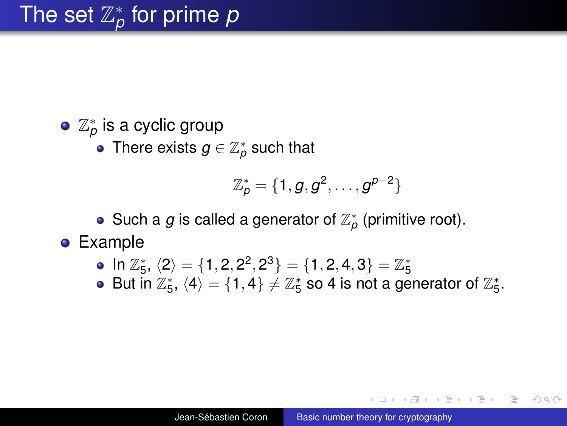• 
$$
\mathbb{Z}_p^*
$$
 is a cyclic group  
• **There exists**  $a \in \mathbb{Z}^*$  sur

There exists  $g \in \mathbb{Z}_p^*$  such that

$$
\mathbb{Z}_\rho^*=\{1,g,g^2,\ldots,g^{\rho-2}\}
$$

Such a  $g$  is called a generator of  $\mathbb{Z}_p^*$  (primitive root).

**•** Example

$$
\bullet\ \ln\mathbb{Z}^*_5,\, \langle 2\rangle=\{1,2,2^2,2^3\}=\{1,2,4,3\}=\mathbb{Z}^*_5
$$

 $\lim_{\omega_5} \frac{\omega_7 - 1}{\omega_5}, \frac{\omega_7 - 1}{4} = \{1, 4\} \neq \mathbb{Z}_5^*$  so 4 is not a generator of  $\mathbb{Z}_5^*$ .

KOD KAP KED KED E YA G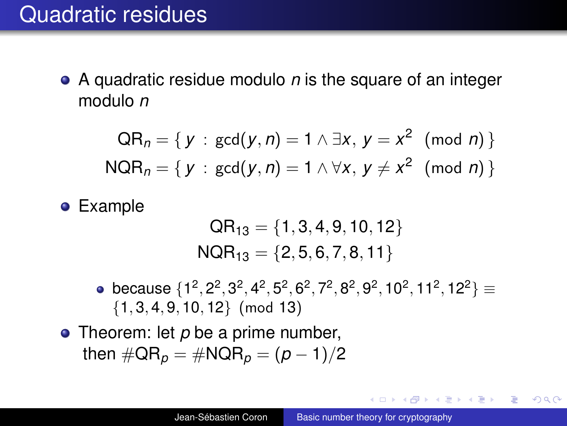## Quadratic residues

A quadratic residue modulo *n* is the square of an integer modulo *n*

$$
QR_n = \{ y : \gcd(y, n) = 1 \land \exists x, y = x^2 \pmod{n} \}
$$
  

$$
NQR_n = \{ y : \gcd(y, n) = 1 \land \forall x, y \neq x^2 \pmod{n} \}
$$

Example

$$
QR_{13} = \{1, 3, 4, 9, 10, 12\}
$$
  

$$
NQR_{13} = \{2, 5, 6, 7, 8, 11\}
$$

- because  $\{1^2, 2^2, 3^2, 4^2, 5^2, 6^2, 7^2, 8^2, 9^2, 10^2, 11^2, 12^2\} \equiv$ {1, 3, 4, 9, 10, 12} (mod 13)
- Theorem: let *p* be a prime number, then  $\#\text{QR}_p = \#\text{NQR}_p = (p-1)/2$

K 何 ▶ K ヨ ▶ K ヨ ▶ ...

B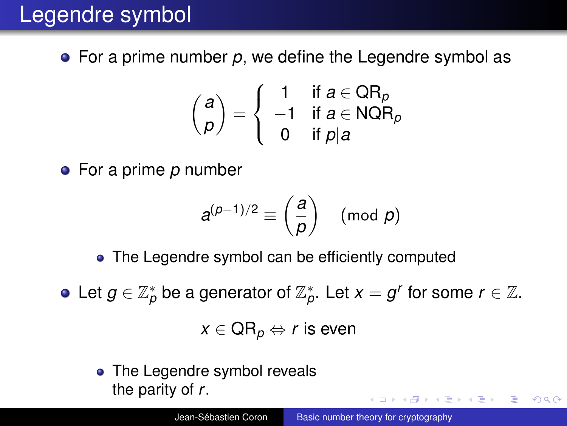## Legendre symbol

**•** For a prime number p, we define the Legendre symbol as

$$
\left(\frac{a}{p}\right) = \left\{\begin{array}{cl} 1 & \text{if } a \in QR_p \\ -1 & \text{if } a \in NQR_p \\ 0 & \text{if } p|a \end{array}\right.
$$

For a prime *p* number

$$
a^{(p-1)/2} \equiv \left(\frac{a}{p}\right) \pmod{p}
$$

• The Legendre symbol can be efficiently computed

Let  $g \in \mathbb{Z}_p^*$  be a generator of  $\mathbb{Z}_p^*.$  Let  $x = g^r$  for some  $r \in \mathbb{Z}.$  $x \in \mathsf{QR}_p \Leftrightarrow r$  is even

• The Legendre symbol reveals the parity of *r*.

**K @ ▶ K 로 X K 로 X \_ 로 X - O Q Q**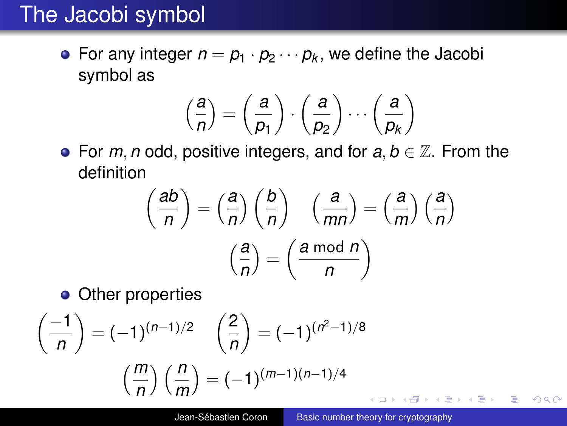# The Jacobi symbol

• For any integer  $n = p_1 \cdot p_2 \cdots p_k$ , we define the Jacobi symbol as

$$
\left(\frac{a}{n}\right) = \left(\frac{a}{p_1}\right) \cdot \left(\frac{a}{p_2}\right) \cdots \left(\frac{a}{p_k}\right)
$$

**•** For *m*, *n* odd, positive integers, and for  $a, b \in \mathbb{Z}$ . From the definition

$$
\left(\frac{ab}{n}\right) = \left(\frac{a}{n}\right)\left(\frac{b}{n}\right) \quad \left(\frac{a}{mn}\right) = \left(\frac{a}{m}\right)\left(\frac{a}{n}\right)
$$

$$
\left(\frac{a}{n}\right) = \left(\frac{a \mod n}{n}\right)
$$

• Other properties

$$
\left(\frac{-1}{n}\right) = (-1)^{(n-1)/2} \quad \left(\frac{2}{n}\right) = (-1)^{(n^2-1)/8}
$$

$$
\left(\frac{m}{n}\right) \left(\frac{n}{m}\right) = (-1)^{(m-1)(n-1)/4}
$$

医电子 医医子宫

÷.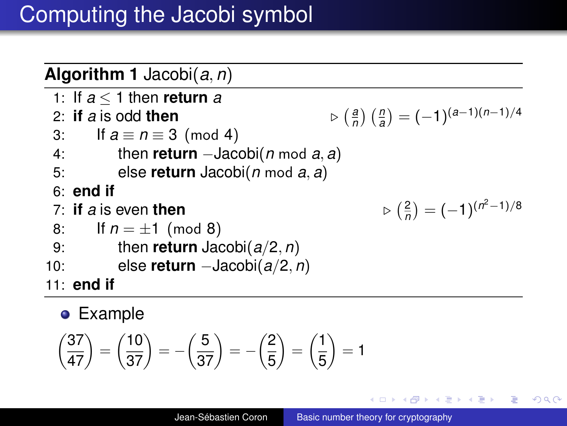**Algorithm 1** Jacobi(*a*, *n*) 1: If *a* ≤ 1 then **return** *a* 2: **if** *a* is odd **then** .  $\left(\frac{a}{n}\right)\left(\frac{n}{a}\right) = (-1)^{(a-1)(n-1)/4}$ 3: If  $a \equiv n \equiv 3 \pmod{4}$ 4: then **return** −Jacobi(*n* mod *a*, *a*) 5: else **return** Jacobi(*n* mod *a*, *a*) 6: **end if** 7: **if** *a* is even **then** .  $\left(\frac{2}{n}\right) = (-1)^{(n^2-1)/8}$ 8: If  $n = \pm 1 \pmod{8}$ 9: then **return** Jacobi(*a*/2, *n*) 10: else **return** −Jacobi(*a*/2, *n*) 11: **end if**

**•** Example

$$
\left(\frac{37}{47}\right) = \left(\frac{10}{37}\right) = -\left(\frac{5}{37}\right) = -\left(\frac{2}{5}\right) = \left(\frac{1}{5}\right) = 1
$$

イロト イ団 トイヨ トイヨ トー

÷.  $QQ$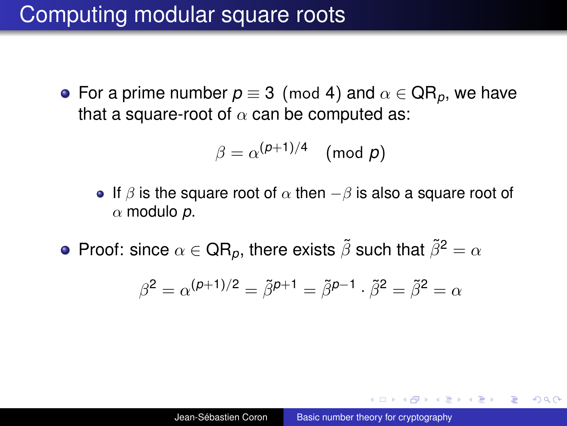#### Computing modular square roots

**•** For a prime number  $p \equiv 3 \pmod{4}$  and  $\alpha \in QR_p$ , we have that a square-root of  $\alpha$  can be computed as:

$$
\beta = \alpha^{(p+1)/4} \pmod{p}
$$

- If  $\beta$  is the square root of  $\alpha$  then  $-\beta$  is also a square root of α modulo *p*.
- **•** Proof: since  $\alpha \in \mathsf{QR}_p$ , there exists  $\tilde{\beta}$  such that  $\tilde{\beta}^2 = \alpha$

$$
\beta^2 = \alpha^{(p+1)/2} = \tilde{\beta}^{p+1} = \tilde{\beta}^{p-1} \cdot \tilde{\beta}^2 = \tilde{\beta}^2 = \alpha
$$

イロト イ押 トイヨ トイヨ トー

B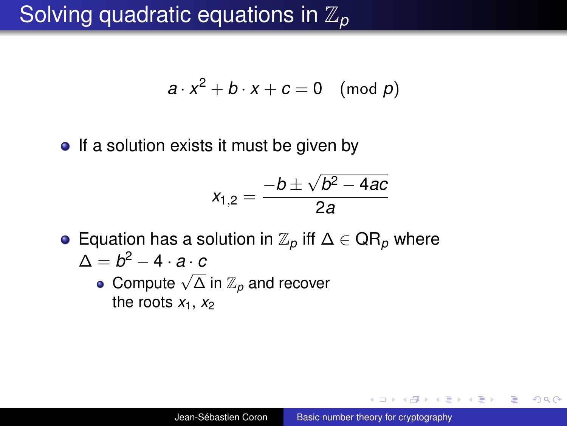## Solving quadratic equations in Z*<sup>p</sup>*

$$
a \cdot x^2 + b \cdot x + c = 0 \pmod{p}
$$

• If a solution exists it must be given by

$$
x_{1,2}=\frac{-b\pm\sqrt{b^2-4ac}}{2a}
$$

- Equation has a solution in Z*<sup>p</sup>* iff ∆ ∈ QR*<sup>p</sup>* where  $\Delta = b^2 - 4 \cdot a \cdot c$ 
	- $\overline{C}$  and  $\overline{C}$  and recover the roots  $x_1$ ,  $x_2$

K 何 ▶ K ヨ ▶ K ヨ ▶

B